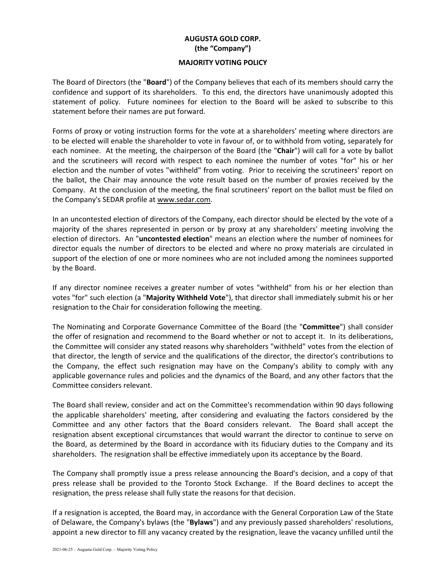## **AUGUSTA GOLD CORP. (the "Company")**

## **MAJORITY VOTING POLICY**

The Board of Directors (the "**Board**") of the Company believes that each of its members should carry the confidence and support of its shareholders. To this end, the directors have unanimously adopted this statement of policy. Future nominees for election to the Board will be asked to subscribe to this statement before their names are put forward.

Forms of proxy or voting instruction forms for the vote at a shareholders' meeting where directors are to be elected will enable the shareholder to vote in favour of, or to withhold from voting, separately for each nominee. At the meeting, the chairperson of the Board (the "**Chair**") will call for a vote by ballot and the scrutineers will record with respect to each nominee the number of votes "for" his or her election and the number of votes "withheld" from voting. Prior to receiving the scrutineers' report on the ballot, the Chair may announce the vote result based on the number of proxies received by the Company. At the conclusion of the meeting, the final scrutineers' report on the ballot must be filed on the Company's SEDAR profile at www.sedar.com.

In an uncontested election of directors of the Company, each director should be elected by the vote of a majority of the shares represented in person or by proxy at any shareholders' meeting involving the election of directors. An "**uncontested election**" means an election where the number of nominees for director equals the number of directors to be elected and where no proxy materials are circulated in support of the election of one or more nominees who are not included among the nominees supported by the Board.

If any director nominee receives a greater number of votes "withheld" from his or her election than votes "for" such election (a "**Majority Withheld Vote**"), that director shall immediately submit his or her resignation to the Chair for consideration following the meeting.

The Nominating and Corporate Governance Committee of the Board (the "**Committee**") shall consider the offer of resignation and recommend to the Board whether or not to accept it. In its deliberations, the Committee will consider any stated reasons why shareholders "withheld" votes from the election of that director, the length of service and the qualifications of the director, the director's contributions to the Company, the effect such resignation may have on the Company's ability to comply with any applicable governance rules and policies and the dynamics of the Board, and any other factors that the Committee considers relevant.

The Board shall review, consider and act on the Committee's recommendation within 90 days following the applicable shareholders' meeting, after considering and evaluating the factors considered by the Committee and any other factors that the Board considers relevant. The Board shall accept the resignation absent exceptional circumstances that would warrant the director to continue to serve on the Board, as determined by the Board in accordance with its fiduciary duties to the Company and its shareholders. The resignation shall be effective immediately upon its acceptance by the Board.

The Company shall promptly issue a press release announcing the Board's decision, and a copy of that press release shall be provided to the Toronto Stock Exchange. If the Board declines to accept the resignation, the press release shall fully state the reasons for that decision.

If a resignation is accepted, the Board may, in accordance with the General Corporation Law of the State of Delaware, the Company's bylaws (the "**Bylaws**") and any previously passed shareholders' resolutions, appoint a new director to fill any vacancy created by the resignation, leave the vacancy unfilled until the